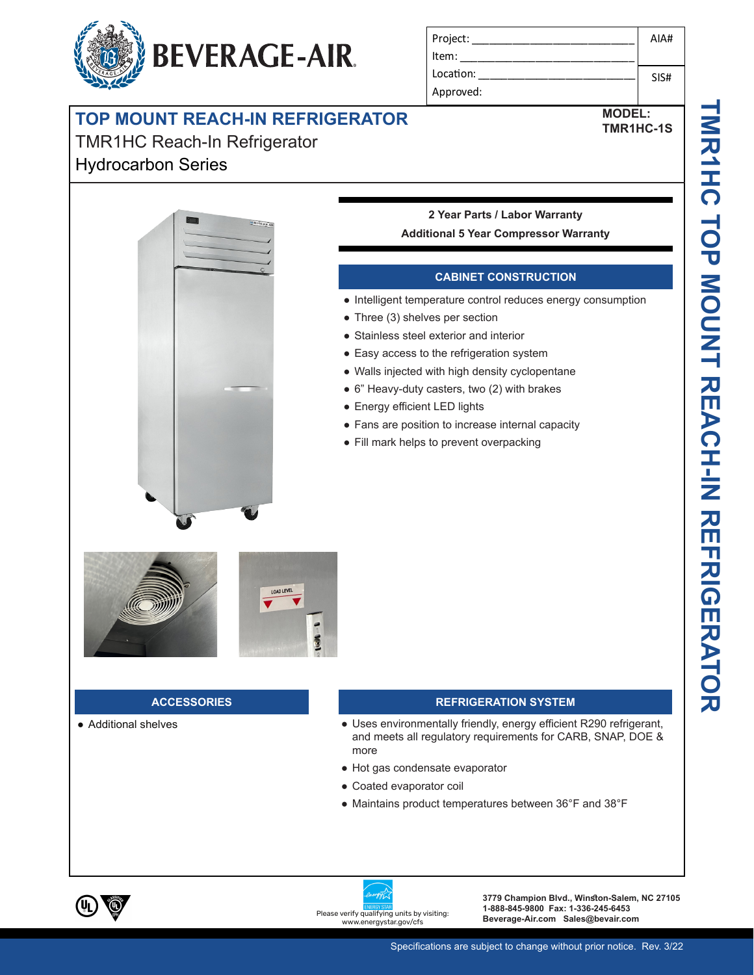# **TOP MOUNT REACH-IN REFRIGERATOR**

**BEVERAGE-AIR.** 

## TMR1HC Reach-In Refrigerator

### Hydrocarbon Series





**MODEL: TMR1HC-1S**

#### **2 Year Parts / Labor Warranty Additional 5 Year Compressor Warranty**

#### **CABINET CONSTRUCTION**

- Intelligent temperature control reduces energy consumption
- Three (3) shelves per section
- Stainless steel exterior and interior
- Easy access to the refrigeration system
- Walls injected with high density cyclopentane
- 6" Heavy-duty casters, two (2) with brakes
- Energy efficient LED lights
- Fans are position to increase internal capacity
- Fill mark helps to prevent overpacking



#### **ACCESSORIES**

● Additional shelves

#### **REFRIGERATION SYSTEM**

- Uses environmentally friendly, energy efficient R290 refrigerant, and meets all regulatory requirements for CARB, SNAP, DOE & more
- Hot gas condensate evaporator
- Coated evaporator coil
- Maintains product temperatures between 36°F and 38°F



energystar.gov/cfs.

**3779 Champion Blvd., Winston-Salem, NC 27105 1-888-845-9800 Fax: 1-336-245-6453**  Please verify qualifying units by visiting:<br>Beverage-Air.com Sales@bevair.com<br>www.energystar.gov/cfs